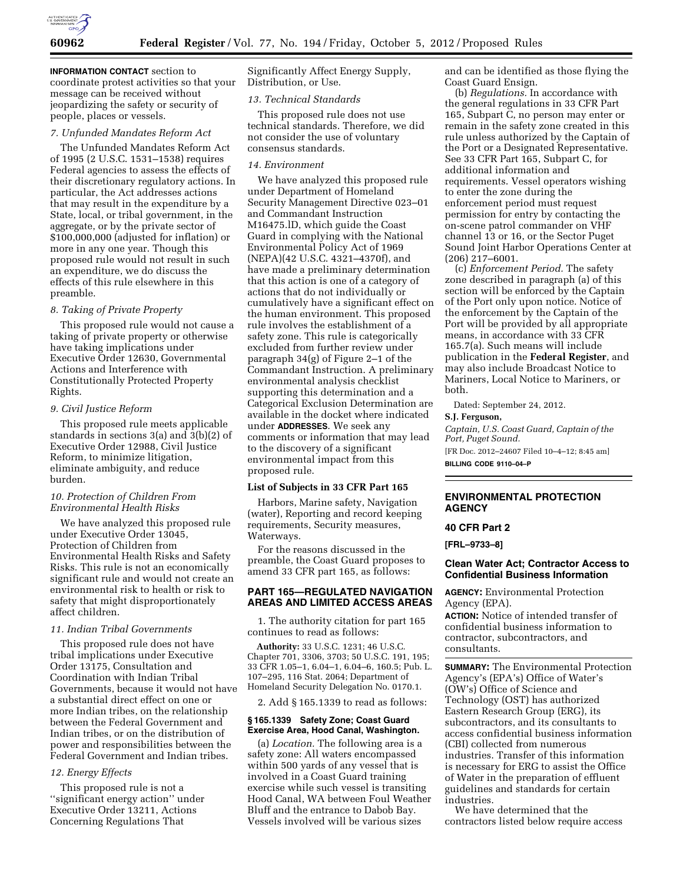

**INFORMATION CONTACT** section to coordinate protest activities so that your message can be received without jeopardizing the safety or security of people, places or vessels.

### *7. Unfunded Mandates Reform Act*

The Unfunded Mandates Reform Act of 1995 (2 U.S.C. 1531–1538) requires Federal agencies to assess the effects of their discretionary regulatory actions. In particular, the Act addresses actions that may result in the expenditure by a State, local, or tribal government, in the aggregate, or by the private sector of \$100,000,000 (adjusted for inflation) or more in any one year. Though this proposed rule would not result in such an expenditure, we do discuss the effects of this rule elsewhere in this preamble.

## *8. Taking of Private Property*

This proposed rule would not cause a taking of private property or otherwise have taking implications under Executive Order 12630, Governmental Actions and Interference with Constitutionally Protected Property Rights.

### *9. Civil Justice Reform*

This proposed rule meets applicable standards in sections 3(a) and 3(b)(2) of Executive Order 12988, Civil Justice Reform, to minimize litigation, eliminate ambiguity, and reduce burden.

## *10. Protection of Children From Environmental Health Risks*

We have analyzed this proposed rule under Executive Order 13045, Protection of Children from Environmental Health Risks and Safety Risks. This rule is not an economically significant rule and would not create an environmental risk to health or risk to safety that might disproportionately affect children.

# *11. Indian Tribal Governments*

This proposed rule does not have tribal implications under Executive Order 13175, Consultation and Coordination with Indian Tribal Governments, because it would not have a substantial direct effect on one or more Indian tribes, on the relationship between the Federal Government and Indian tribes, or on the distribution of power and responsibilities between the Federal Government and Indian tribes.

## *12. Energy Effects*

This proposed rule is not a ''significant energy action'' under Executive Order 13211, Actions Concerning Regulations That

Significantly Affect Energy Supply, Distribution, or Use.

### *13. Technical Standards*

This proposed rule does not use technical standards. Therefore, we did not consider the use of voluntary consensus standards.

### *14. Environment*

We have analyzed this proposed rule under Department of Homeland Security Management Directive 023–01 and Commandant Instruction M16475.lD, which guide the Coast Guard in complying with the National Environmental Policy Act of 1969 (NEPA)(42 U.S.C. 4321–4370f), and have made a preliminary determination that this action is one of a category of actions that do not individually or cumulatively have a significant effect on the human environment. This proposed rule involves the establishment of a safety zone. This rule is categorically excluded from further review under paragraph 34(g) of Figure 2–1 of the Commandant Instruction. A preliminary environmental analysis checklist supporting this determination and a Categorical Exclusion Determination are available in the docket where indicated under **ADDRESSES**. We seek any comments or information that may lead to the discovery of a significant environmental impact from this proposed rule.

## **List of Subjects in 33 CFR Part 165**

Harbors, Marine safety, Navigation (water), Reporting and record keeping requirements, Security measures, Waterways.

For the reasons discussed in the preamble, the Coast Guard proposes to amend 33 CFR part 165, as follows:

## **PART 165—REGULATED NAVIGATION AREAS AND LIMITED ACCESS AREAS**

1. The authority citation for part 165 continues to read as follows:

**Authority:** 33 U.S.C. 1231; 46 U.S.C. Chapter 701, 3306, 3703; 50 U.S.C. 191, 195; 33 CFR 1.05–1, 6.04–1, 6.04–6, 160.5; Pub. L. 107–295, 116 Stat. 2064; Department of Homeland Security Delegation No. 0170.1.

2. Add § 165.1339 to read as follows:

## **§ 165.1339 Safety Zone; Coast Guard Exercise Area, Hood Canal, Washington.**

(a) *Location.* The following area is a safety zone: All waters encompassed within 500 yards of any vessel that is involved in a Coast Guard training exercise while such vessel is transiting Hood Canal, WA between Foul Weather Bluff and the entrance to Dabob Bay. Vessels involved will be various sizes

and can be identified as those flying the Coast Guard Ensign.

(b) *Regulations.* In accordance with the general regulations in 33 CFR Part 165, Subpart C, no person may enter or remain in the safety zone created in this rule unless authorized by the Captain of the Port or a Designated Representative. See 33 CFR Part 165, Subpart C, for additional information and requirements. Vessel operators wishing to enter the zone during the enforcement period must request permission for entry by contacting the on-scene patrol commander on VHF channel 13 or 16, or the Sector Puget Sound Joint Harbor Operations Center at (206) 217–6001.

(c) *Enforcement Period.* The safety zone described in paragraph (a) of this section will be enforced by the Captain of the Port only upon notice. Notice of the enforcement by the Captain of the Port will be provided by all appropriate means, in accordance with 33 CFR 165.7(a). Such means will include publication in the **Federal Register**, and may also include Broadcast Notice to Mariners, Local Notice to Mariners, or both.

Dated: September 24, 2012.

#### **S.J. Ferguson,**

*Captain, U.S. Coast Guard, Captain of the Port, Puget Sound.* 

[FR Doc. 2012–24607 Filed 10–4–12; 8:45 am] **BILLING CODE 9110–04–P** 

## **ENVIRONMENTAL PROTECTION AGENCY**

## **40 CFR Part 2**

**[FRL–9733–8]** 

## **Clean Water Act; Contractor Access to Confidential Business Information**

**AGENCY:** Environmental Protection Agency (EPA).

**ACTION:** Notice of intended transfer of confidential business information to contractor, subcontractors, and consultants.

**SUMMARY:** The Environmental Protection Agency's (EPA's) Office of Water's (OW's) Office of Science and Technology (OST) has authorized Eastern Research Group (ERG), its subcontractors, and its consultants to access confidential business information (CBI) collected from numerous industries. Transfer of this information is necessary for ERG to assist the Office of Water in the preparation of effluent guidelines and standards for certain industries.

We have determined that the contractors listed below require access